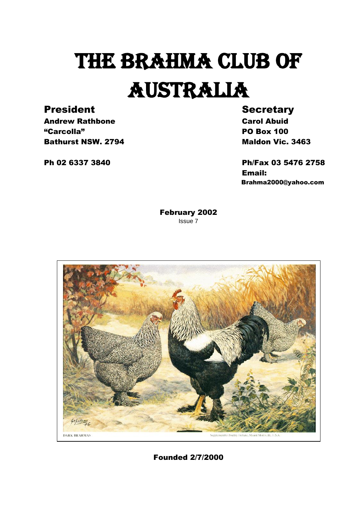# THE BRAHMA CLUB OF AUSTRALIA

### President Secretary

Andrew Rathbone **Carol Abuid** "Carcolla" PO Box 100 **Bathurst NSW. 2794** Maldon Vic. 3463

Ph 02 6337 3840 Ph/Fax 03 5476 2758 Email: Brahma2000@yahoo.com

> February 2002 Issue 7



Founded 2/7/2000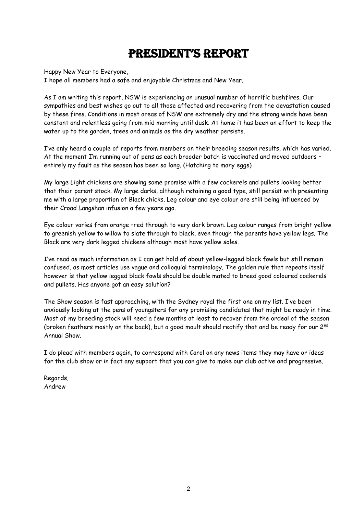### President's rePort

Happy New Year to Everyone,

I hope all members had a safe and enjoyable Christmas and New Year.

As I am writing this report, NSW is experiencing an unusual number of horrific bushfires. Our sympathies and best wishes go out to all those affected and recovering from the devastation caused by these fires. Conditions in most areas of NSW are extremely dry and the strong winds have been constant and relentless going from mid morning until dusk. At home it has been an effort to keep the water up to the garden, trees and animals as the dry weather persists.

I've only heard a couple of reports from members on their breeding season results, which has varied. At the moment I'm running out of pens as each brooder batch is vaccinated and moved outdoors – entirely my fault as the season has been so long. (Hatching to many eggs)

My large Light chickens are showing some promise with a few cockerels and pullets looking better that their parent stock. My large darks, although retaining a good type, still persist with presenting me with a large proportion of Black chicks. Leg colour and eye colour are still being influenced by their Croad Langshan infusion a few years ago.

Eye colour varies from orange –red through to very dark brown. Leg colour ranges from bright yellow to greenish yellow to willow to slate through to black, even though the parents have yellow legs. The Black are very dark legged chickens although most have yellow soles.

I've read as much information as I can get hold of about yellow-legged black fowls but still remain confused, as most articles use vague and colloquial terminology. The golden rule that repeats itself however is that yellow legged black fowls should be double mated to breed good coloured cockerels and pullets. Has anyone got an easy solution?

The Show season is fast approaching, with the Sydney royal the first one on my list. I've been anxiously looking at the pens of youngsters for any promising candidates that might be ready in time. Most of my breeding stock will need a few months at least to recover from the ordeal of the season (broken feathers mostly on the back), but a good moult should rectify that and be ready for our 2<sup>nd</sup> Annual Show.

I do plead with members again, to correspond with Carol on any news items they may have or ideas for the club show or in fact any support that you can give to make our club active and progressive.

Regards, Andrew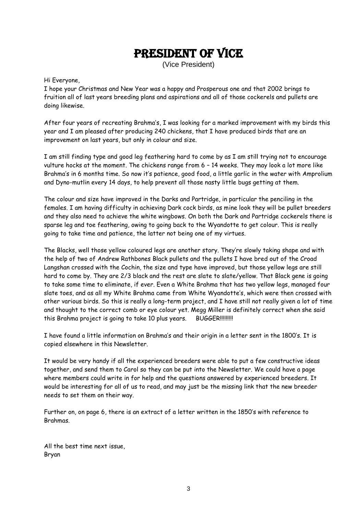### President of vice

(Vice President)

Hi Everyone,

I hope your Christmas and New Year was a happy and Prosperous one and that 2002 brings to fruition all of last years breeding plans and aspirations and all of those cockerels and pullets are doing likewise.

After four years of recreating Brahma's, I was looking for a marked improvement with my birds this year and I am pleased after producing 240 chickens, that I have produced birds that are an improvement on last years, but only in colour and size.

I am still finding type and good leg feathering hard to come by as I am still trying not to encourage vulture hocks at the moment. The chickens range from 6 – 14 weeks. They may look a lot more like Brahma's in 6 months time. So now it's patience, good food, a little garlic in the water with Amprolium and Dyno-mutlin every 14 days, to help prevent all those nasty little bugs getting at them.

The colour and size have improved in the Darks and Partridge, in particular the penciling in the females. I am having difficulty in achieving Dark cock birds, as mine look they will be pullet breeders and they also need to achieve the white wingbows. On both the Dark and Partridge cockerels there is sparse leg and toe feathering, owing to going back to the Wyandotte to get colour. This is really going to take time and patience, the latter not being one of my virtues.

The Blacks, well those yellow coloured legs are another story. They're slowly taking shape and with the help of two of Andrew Rathbones Black pullets and the pullets I have bred out of the Croad Langshan crossed with the Cochin, the size and type have improved, but those yellow legs are still hard to come by. They are 2/3 black and the rest are slate to slate/yellow. That Black gene is going to take some time to eliminate, if ever. Even a White Brahma that has two yellow legs, managed four slate toes, and as all my White Brahma came from White Wyandotte's, which were then crossed with other various birds. So this is really a long-term project, and I have still not really given a lot of time and thought to the correct comb or eye colour yet. Megg Miller is definitely correct when she said this Brahma project is going to take 10 plus years. BUGGER!!!!!!!!!

I have found a little information on Brahma's and their origin in a letter sent in the 1800's. It is copied elsewhere in this Newsletter.

It would be very handy if all the experienced breeders were able to put a few constructive ideas together, and send them to Carol so they can be put into the Newsletter. We could have a page where members could write in for help and the questions answered by experienced breeders. It would be interesting for all of us to read, and may just be the missing link that the new breeder needs to set them on their way.

Further on, on page 6, there is an extract of a letter written in the 1850's with reference to Brahmas.

All the best time next issue, Bryan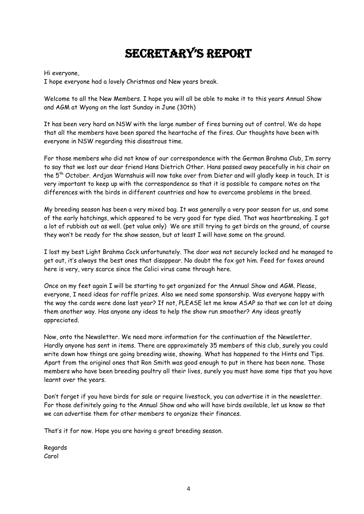# secretary's rePort

Hi everyone,

I hope everyone had a lovely Christmas and New years break.

Welcome to all the New Members. I hope you will all be able to make it to this years Annual Show and AGM at Wyong on the last Sunday in June (30th)

It has been very hard on NSW with the large number of fires burning out of control. We do hope that all the members have been spared the heartache of the fires. Our thoughts have been with everyone in NSW regarding this disastrous time.

For those members who did not know of our correspondence with the German Brahma Club, I'm sorry to say that we lost our dear friend Hans Dietrich Other. Hans passed away peacefully in his chair on the 5th October. Ardjan Warnshuis will now take over from Dieter and will gladly keep in touch. It is very important to keep up with the correspondence so that it is possible to compare notes on the differences with the birds in different countries and how to overcome problems in the breed.

My breeding season has been a very mixed bag. It was generally a very poor season for us, and some of the early hatchings, which appeared to be very good for type died. That was heartbreaking. I got a lot of rubbish out as well. (pet value only) We are still trying to get birds on the ground, of course they won't be ready for the show season, but at least I will have some on the ground.

I lost my best Light Brahma Cock unfortunately. The door was not securely locked and he managed to get out, it's always the best ones that disappear. No doubt the fox got him. Feed for foxes around here is very, very scarce since the Calici virus came through here.

Once on my feet again I will be starting to get organized for the Annual Show and AGM. Please, everyone, I need ideas for raffle prizes. Also we need some sponsorship. Was everyone happy with the way the cards were done last year? If not, PLEASE let me know ASAP so that we can lot at doing them another way. Has anyone any ideas to help the show run smoother? Any ideas greatly appreciated.

Now, onto the Newsletter. We need more information for the continuation of the Newsletter. Hardly anyone has sent in items. There are approximately 35 members of this club, surely you could write down how things are going breeding wise, showing. What has happened to the Hints and Tips. Apart from the original ones that Ron Smith was good enough to put in there has been none. Those members who have been breeding poultry all their lives, surely you must have some tips that you have learnt over the years.

Don't forget if you have birds for sale or require livestock, you can advertise it in the newsletter. For those definitely going to the Annual Show and who will have birds available, let us know so that we can advertise them for other members to organize their finances.

That's it for now. Hope you are having a great breeding season.

Regards Carol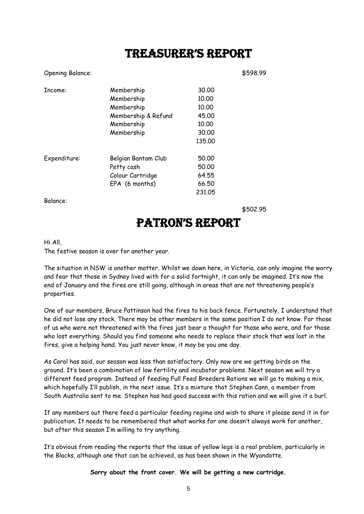### treasurer's rePort

Opening Balance: \$598.99

| Income:      | Membership          | 30,00  |
|--------------|---------------------|--------|
|              | Membership          | 10.00  |
|              | Membership          | 10.00  |
|              | Membership & Refund | 45,00  |
|              | Membership          | 10.00  |
|              | Membership          | 30,00  |
|              |                     | 135,00 |
| Expenditure: | Belgian Bantam Club | 50,00  |
|              | Petty cash          | 50,00  |
|              | Colour Cartridge    | 64.55  |
|              | EPA (6 months)      | 66.50  |
|              |                     | 23105  |

Balance:

\$502.95

## Patron's rePort

#### Hi All,

The festive season is over for another year.

The situation in NSW is another matter. Whilst we down here, in Victoria, can only imagine the worry and fear that those in Sydney lived with for a solid fortnight, it can only be imagined. It's now the end of January and the fires are still going, although in areas that are not threatening people's properties.

One of our members, Bruce Pattinson had the fires to his back fence. Fortunately, I understand that he did not lose any stock. There may be other members in the same position I do not know. For those of us who were not threatened with the fires just bear a thought for those who were, and for those who lost everything. Should you find someone who needs to replace their stock that was lost in the fires, give a helping hand. You just never know, it may be you one day.

As Carol has said, our season was less than satisfactory. Only now are we getting birds on the ground. It's been a combination of low fertility and incubator problems. Next season we will try a different feed program. Instead of feeding Full Feed Breeders Rations we will go to making a mix, which hopefully I'll publish, in the next issue. It's a mixture that Stephen Cann, a member from South Australia sent to me. Stephen has had good success with this ration and we will give it a burl.

If any members out there feed a particular feeding regime and wish to share it please send it in for publication. It needs to be remembered that what works for one doesn't always work for another, but after this season I'm willing to try anything.

It's obvious from reading the reports that the issue of yellow legs is a real problem, particularly in the Blacks, although one that can be achieved, as has been shown in the Wyandotte.

**Sorry about the front cover. We will be getting a new cartridge.**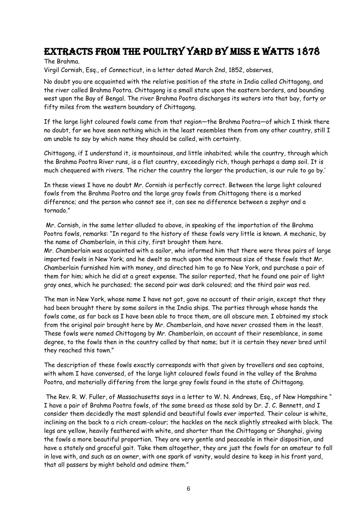### Extracts from The Poultry Yard by Miss E Watts 1878

The Brahma.

Virgil Cornish, Esq., of Connecticut, in a letter dated March 2nd, 1852, observes,

No doubt you are acquainted with the relative position of the state in India called Chittagong, and the river called Brahma Pootra. Chittagong is a small state upon the eastern borders, and bounding west upon the Bay of Bengal. The river Brahma Pootra discharges its waters into that bay, forty or fifty miles from the western boundary of Chittagong.

If the large light coloured fowls came from that region—the Brahma Pootra—of which I think there no doubt, for we have seen nothing which in the least resembles them from any other country, still I am unable to say by which name they should be called, with certainty.

Chittagong, if I understand it, is mountainous, and little inhabited; while the country, through which the Brahma Pootra River runs, is a flat country, exceedingly rich, though perhaps a damp soil. It is much chequered with rivers. The richer the country the larger the production, is our rule to go by.'

In these views I have no doubt Mr. Cornish is perfectly correct. Between the large light coloured fowls from the Brahma Pootra and the large gray fowls from Chittagong there is a marked difference; and the person who cannot see it, can see no difference between a zephyr and a tornado."

Mr. Cornish, in the same letter alluded to above, in speaking of the importation of the Brahma Pootra fowls, remarks: "In regard to the history of these fowls very little is known. A mechanic, by the name of Chamberlain, in this city, first brought them here.

Mr. Chamberlain was acquainted with a sailor, who informed him that there were three pairs of large imported fowls in New York; and he dwelt so much upon the enormous size of these fowls that Mr. Chamberlain furnished him with money, and directed him to go to New York, and purchase a pair of them for him; which he did at a great expense. The sailor reported, that he found one pair of light gray ones, which he purchased; the second pair was dark coloured; and the third pair was red.

The man in New York, whose name I have not got, gave no account of their origin, except that they had been brought there by some sailors in the India ships. The parties through whose hands the fowls came, as far back as I have been able to trace them, are all obscure men. I obtained my stock from the original pair brought here by Mr. Chamberlain, and have never crossed them in the least. These fowls were named Chittagong by Mr. Chamberlain, on account of their resemblance, in some degree, to the fowls then in the country called by that name; but it is certain they never bred until they reached this town."

The description of these fowls exactly corresponds with that given by travellers and sea captains, with whom I have conversed, of the large light coloured fowls found in the valley of the Brahma Pootra, and materially differing from the large gray fowls found in the state of Chittagong.

The Rev. R. W. Fuller, of Massachusetts says in a letter to W. N. Andrews, Esq., of New Hampshire " I have a pair of Brahma Pootra fowls, of the same breed as those sold by Dr. J. C. Bennett, and I consider them decidedly the most splendid and beautiful fowls ever imported. Their colour is white, inclining on the back to a rich cream-colour; the hackles on the neck slightly streaked with black. The legs are yellow, heavily feathered with white, and shorter than the Chittagong or Shanghai, giving the fowls a more beautiful proportion. They are very gentle and peaceable in their disposition, and have a stately and graceful gait. Take them altogether, they are just the fowls for an amateur to fall in love with, and such as an owner, with one spark of vanity, would desire to keep in his front yard, that all passers by might behold and admire them."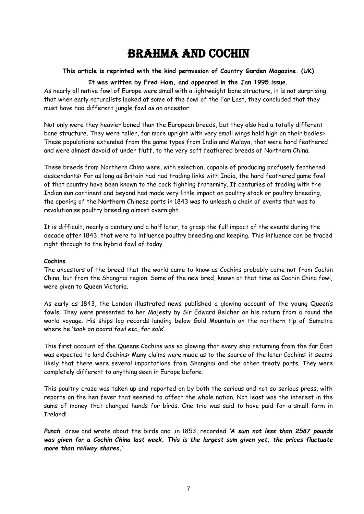### Brahma and Cochin

### **This article is reprinted with the kind permission of Country Garden Magazine. (UK)**

#### **It was written by Fred Ham, and appeared in the Jan 1995 issue.**

As nearly all native fowl of Europe were small with a lightweight bone structure, it is not surprising that when early naturalists looked at some of the fowl of the Far East, they concluded that they must have had different jungle fowl as an ancestor.

Not only were they heavier boned than the European breeds, but they also had a totally different bone structure. They were taller, far more upright with very small wings held high on their bodies> These populations extended from the game types from India and Malaya, that were hard feathered and were almost devoid of under fluff, to the very soft feathered breeds of Northern China.

These breeds from Northern China were, with selection, capable of producing profusely feathered descendants> For as long as Britain had had trading links with India, the hard feathered game fowl of that country have been known to the cock fighting fraternity. If centuries of trading with the Indian sun continent and beyond had made very little impact on poultry stock or poultry breeding, the opening of the Northern Chinese ports in 1843 was to unleash a chain of events that was to revolutionise poultry breeding almost overnight.

It is difficult, nearly a century and a half later, to grasp the full impact of the events during the decade after 1843, that were to influence poultry breeding and keeping. This influence can be traced right through to the hybrid fowl of today.

#### **Cochins**

The ancestors of the breed that the world came to know as Cochins probably came not from Cochin China, but from the Shanghai region. Some of the new bred, known at that time as Cochin China fowl, were given to Queen Victoria.

As early as 1843, the London illustrated news published a glowing account of the young Queen's fowls. They were presented to her Majesty by Sir Edward Belcher on his return from a round the world voyage. His ships log records landing below Gold Mountain on the northern tip of Sumatra where he '*took on board fowl etc, for sale*'

This first account of the Queens Cochins was so glowing that every ship returning from the far East was expected to land Cochins> Many claims were made as to the source of the later Cochins: it seems likely that there were several importations from Shanghai and the other treaty ports. They were completely different to anything seen in Europe before.

This poultry craze was taken up and reported on by both the serious and not so serious press, with reports on the hen fever that seemed to affect the whole nation. Not least was the interest in the sums of money that changed hands for birds. One trio was said to have paid for a small farm in Ireland!

*Punch* drew and wrote about the birds and ,in 1853, recorded *'A sum not less than 2587 pounds was given for a Cochin China last week. This is the largest sum given yet, the prices fluctuate more than railway shares.'*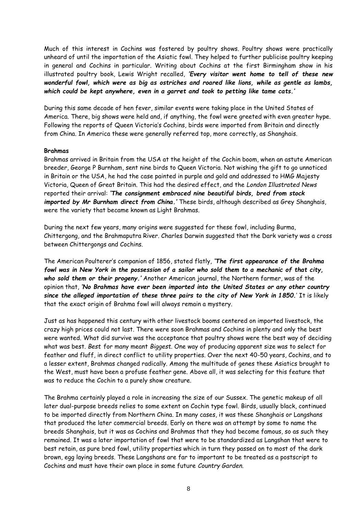Much of this interest in Cochins was fostered by poultry shows. Poultry shows were practically unheard of until the importation of the Asiatic fowl. They helped to further publicise poultry keeping in general and Cochins in particular. Writing about Cochins at the first Birmingham show in his illustrated poultry book, Lewis Wright recalled, *'Every visitor went home to tell of these new wonderful fowl, which were as big as ostriches and roared like lions, while as gentle as lambs, which could be kept anywhere, even in a garret and took to petting like tame cats.'*

During this same decade of hen fever, similar events were taking place in the United States of America. There, big shows were held and, if anything, the fowl were greeted with even greater hype. Following the reports of Queen Victoria's Cochins, birds were imported from Britain and directly from China. In America these were generally referred top, more correctly, as Shanghais.

#### **Brahmas**

Brahmas arrived in Britain from the USA at the height of the Cochin boom, when an astute American breeder, George P Burnham, sent nine birds to Queen Victoria. Not wishing the gift to go unnoticed in Britain or the USA, he had the case painted in purple and gold and addressed to HMG Majesty Victoria, Queen of Great Britain. This had the desired effect, and the *London Illustrated News* reported their arrival: *'The consignment embraced nine beautiful birds, bred from stock imported by Mr Burnham direct from China.'* These birds, although described as Grey Shanghais, were the variety that became known as Light Brahmas.

During the next few years, many origins were suggested for these fowl, including Burma, Chittergong, and the Brahmaputra River. Charles Darwin suggested that the Dark variety was a cross between Chittergongs and Cochins.

The American Poulterer's companion of 1856, stated flatly, *'The first appearance of the Brahma fowl was in New York in the possession of a sailor who sold them to a mechanic of that city, who sold them or their progeny.'* Another American journal, the Northern farmer, was of the opinion that, *'No Brahmas have ever been imported into the United States or any other country since the alleged importation of these three pairs to the city of New York in 1850.*' It is likely that the exact origin of Brahma fowl will always remain a mystery.

Just as has happened this century with other livestock booms centered on imported livestock, the crazy high prices could not last. There were soon Brahmas and Cochins in plenty and only the best were wanted. What did survive was the acceptance that poultry shows were the best way of deciding what was best. *Best* for many meant *Biggest.* One way of producing apparent size was to select for feather and fluff, in direct conflict to utility properties. Over the next 40-50 years, Cochins, and to a lesser extent, Brahmas changed radically. Among the multitude of genes these Asiatics brought to the West, must have been a profuse feather gene. Above all, it was selecting for this feature that was to reduce the Cochin to a purely show creature.

The Brahma certainly played a role in increasing the size of our Sussex. The genetic makeup of all later dual-purpose breeds relies to some extent on Cochin type fowl. Birds, usually black, continued to be imported directly from Northern China. In many cases, it was these Shanghais or Langshans that produced the later commercial breeds. Early on there was an attempt by some to name the breeds Shanghais, but it was as Cochins and Brahmas that they had become famous, so as such they remained. It was a later importation of fowl that were to be standardized as Langshan that were to best retain, as pure bred fowl, utility properties which in turn they passed on to most of the dark brown, egg laying breeds. These Langshans are far to important to be treated as a postscript to Cochins and must have their own place in some future *Country Garden*.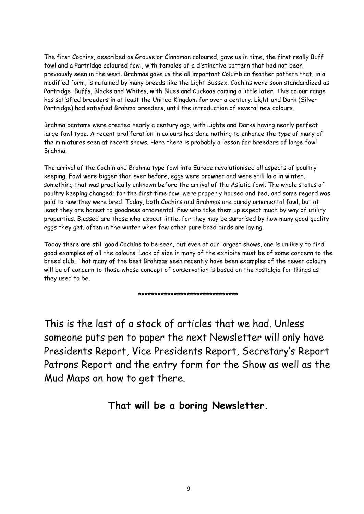The first Cochins, described as Grouse or Cinnamon coloured, gave us in time, the first really Buff fowl and a Partridge coloured fowl, with females of a distinctive pattern that had not been previously seen in the west. Brahmas gave us the all important Columbian feather pattern that, in a modified form, is retained by many breeds like the Light Sussex. Cochins were soon standardized as Partridge, Buffs, Blacks and Whites, with Blues and Cuckoos coming a little later. This colour range has satisfied breeders in at least the United Kingdom for over a century. Light and Dark (Silver Partridge) had satisfied Brahma breeders, until the introduction of several new colours.

Brahma bantams were created nearly a century ago, with Lights and Darks having nearly perfect large fowl type. A recent proliferation in colours has done nothing to enhance the *type* of many of the miniatures seen at recent shows. Here there is probably a lesson for breeders of large fowl Brahma.

The arrival of the Cochin and Brahma type fowl into Europe revolutionised all aspects of poultry keeping. Fowl were bigger than ever before, eggs were browner and were still laid in winter, something that was practically unknown before the arrival of the Asiatic fowl. The whole status of poultry keeping changed; for the first time fowl were properly housed and fed, and some regard was paid to how they were bred. Today, both Cochins and Brahmas are purely ornamental fowl, but at least they are honest to goodness ornamental. Few who take them up expect much by way of utility properties. Blessed are those who expect little, for they may be surprised by how many good quality eggs they get, often in the winter when few other pure bred birds are laying.

Today there are still good Cochins to be seen, but even at our largest shows, one is unlikely to find good examples of all the colours. Lack of size in many of the exhibits must be of some concern to the breed club. That many of the best Brahmas seen recently have been examples of the newer colours will be of concern to those whose concept of conservation is based on the nostalgia for things as they used to be.

**\*\*\*\*\*\*\*\*\*\*\*\*\*\*\*\*\*\*\*\*\*\*\*\*\*\*\*\*\*\*\***

This is the last of a stock of articles that we had. Unless someone puts pen to paper the next Newsletter will only have Presidents Report, Vice Presidents Report, Secretary's Report Patrons Report and the entry form for the Show as well as the Mud Maps on how to get there.

### **That will be a boring Newsletter.**